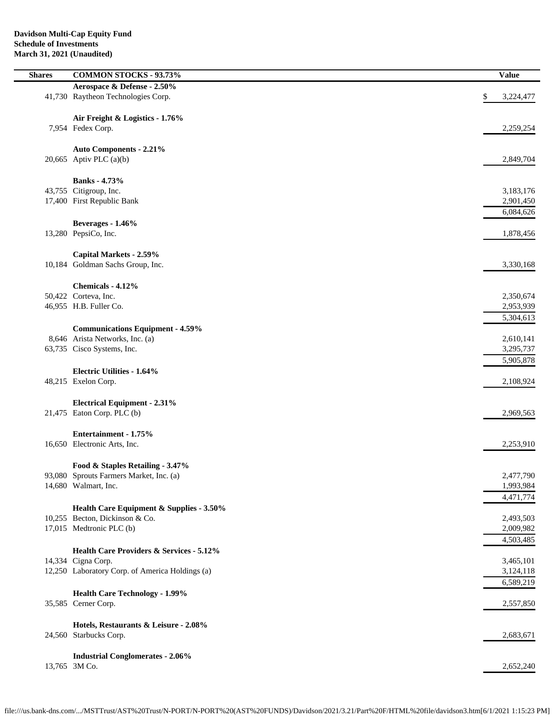- $\overline{\phantom{0}}$ 

| <b>Shares</b> | <b>COMMON STOCKS - 93.73%</b>                                   | <b>Value</b>    |
|---------------|-----------------------------------------------------------------|-----------------|
|               | Aerospace & Defense - 2.50%                                     |                 |
|               | 41,730 Raytheon Technologies Corp.                              | \$<br>3,224,477 |
|               |                                                                 |                 |
|               | Air Freight & Logistics - 1.76%                                 |                 |
|               | 7,954 Fedex Corp.                                               | 2,259,254       |
|               |                                                                 |                 |
|               | <b>Auto Components - 2.21%</b>                                  |                 |
|               | 20,665 Aptiv PLC $(a)(b)$                                       | 2,849,704       |
|               |                                                                 |                 |
|               |                                                                 |                 |
|               | <b>Banks</b> - 4.73%<br>43,755 Citigroup, Inc.                  | 3,183,176       |
|               | 17,400 First Republic Bank                                      |                 |
|               |                                                                 | 2,901,450       |
|               |                                                                 | 6,084,626       |
|               | Beverages - 1.46%                                               |                 |
|               | 13,280 PepsiCo, Inc.                                            | 1,878,456       |
|               |                                                                 |                 |
|               | Capital Markets - 2.59%                                         |                 |
|               | 10,184 Goldman Sachs Group, Inc.                                | 3,330,168       |
|               |                                                                 |                 |
|               | Chemicals - 4.12%                                               |                 |
|               | 50,422 Corteva, Inc.                                            | 2,350,674       |
|               | 46,955 H.B. Fuller Co.                                          | 2,953,939       |
|               |                                                                 | 5,304,613       |
|               | <b>Communications Equipment - 4.59%</b>                         |                 |
|               | 8,646 Arista Networks, Inc. (a)                                 | 2,610,141       |
|               | 63,735 Cisco Systems, Inc.                                      | 3,295,737       |
|               |                                                                 | 5,905,878       |
|               | <b>Electric Utilities - 1.64%</b>                               |                 |
|               | 48,215 Exelon Corp.                                             | 2,108,924       |
|               |                                                                 |                 |
|               | <b>Electrical Equipment - 2.31%</b>                             |                 |
|               | 21,475 Eaton Corp. PLC (b)                                      | 2,969,563       |
|               |                                                                 |                 |
|               | Entertainment - 1.75%                                           |                 |
|               | 16,650 Electronic Arts, Inc.                                    | 2,253,910       |
|               |                                                                 |                 |
|               | Food & Staples Retailing - 3.47%                                |                 |
|               | 93,080 Sprouts Farmers Market, Inc. (a)                         | 2,477,790       |
|               | 14,680 Walmart, Inc.                                            | 1,993,984       |
|               |                                                                 | 4,471,774       |
|               | Health Care Equipment & Supplies - 3.50%                        |                 |
|               | 10,255 Becton, Dickinson & Co.                                  | 2,493,503       |
|               | 17,015 Medtronic PLC (b)                                        | 2,009,982       |
|               |                                                                 | 4,503,485       |
|               | <b>Health Care Providers &amp; Services - 5.12%</b>             |                 |
|               | 14,334 Cigna Corp.                                              | 3,465,101       |
|               | 12,250 Laboratory Corp. of America Holdings (a)                 | 3,124,118       |
|               |                                                                 | 6,589,219       |
|               |                                                                 |                 |
|               | <b>Health Care Technology - 1.99%</b>                           |                 |
|               | 35,585 Cerner Corp.                                             | 2,557,850       |
|               |                                                                 |                 |
|               | Hotels, Restaurants & Leisure - 2.08%<br>24,560 Starbucks Corp. | 2,683,671       |
|               |                                                                 |                 |
|               | <b>Industrial Conglomerates - 2.06%</b>                         |                 |
|               | 13,765 3M Co.                                                   | 2,652,240       |
|               |                                                                 |                 |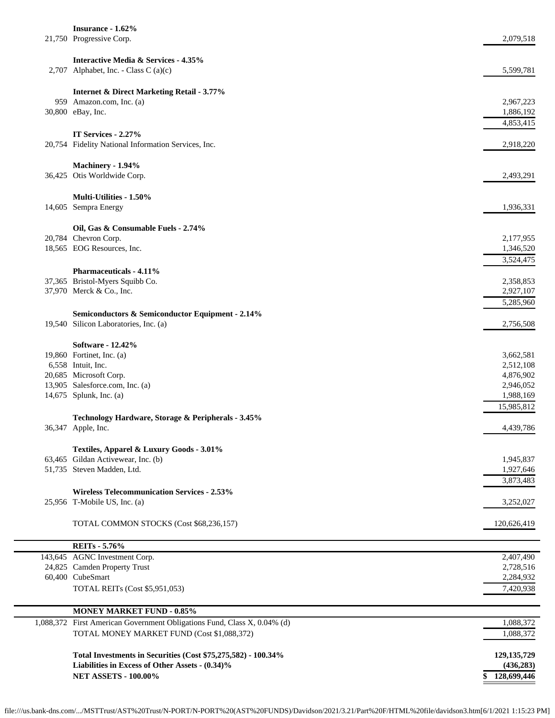| Insurance - 1.62%<br>21,750 Progressive Corp.                              | 2,079,518              |
|----------------------------------------------------------------------------|------------------------|
| Interactive Media & Services - 4.35%                                       |                        |
| 2,707 Alphabet, Inc. - Class C (a)(c)                                      | 5,599,781              |
|                                                                            |                        |
| <b>Internet &amp; Direct Marketing Retail - 3.77%</b>                      |                        |
| 959 Amazon.com, Inc. (a)                                                   | 2,967,223              |
| 30,800 eBay, Inc.                                                          | 1,886,192              |
|                                                                            | 4,853,415              |
| IT Services - 2.27%<br>20,754 Fidelity National Information Services, Inc. | 2,918,220              |
|                                                                            |                        |
| Machinery - 1.94%                                                          |                        |
| 36,425 Otis Worldwide Corp.                                                | 2,493,291              |
|                                                                            |                        |
| Multi-Utilities - 1.50%<br>14,605 Sempra Energy                            | 1,936,331              |
|                                                                            |                        |
| Oil, Gas & Consumable Fuels - 2.74%                                        |                        |
| 20,784 Chevron Corp.                                                       | 2,177,955              |
| 18,565 EOG Resources, Inc.                                                 | 1,346,520              |
|                                                                            | 3,524,475              |
| Pharmaceuticals - 4.11%                                                    |                        |
| 37,365 Bristol-Myers Squibb Co.<br>37,970 Merck & Co., Inc.                | 2,358,853<br>2,927,107 |
|                                                                            | 5,285,960              |
| Semiconductors & Semiconductor Equipment - 2.14%                           |                        |
| 19,540 Silicon Laboratories, Inc. (a)                                      | 2,756,508              |
|                                                                            |                        |
| Software - 12.42%                                                          |                        |
| 19,860 Fortinet, Inc. (a)<br>6,558 Intuit, Inc.                            | 3,662,581<br>2,512,108 |
| 20,685 Microsoft Corp.                                                     | 4,876,902              |
| 13,905 Salesforce.com, Inc. (a)                                            | 2,946,052              |
| 14,675 Splunk, Inc. (a)                                                    | 1,988,169              |
|                                                                            | 15,985,812             |
| Technology Hardware, Storage & Peripherals - 3.45%                         |                        |
| 36,347 Apple, Inc.                                                         | 4,439,786              |
| Textiles, Apparel & Luxury Goods - 3.01%                                   |                        |
| 63,465 Gildan Activewear, Inc. (b)                                         | 1,945,837              |
| 51,735 Steven Madden, Ltd.                                                 | 1,927,646              |
|                                                                            | 3,873,483              |
| <b>Wireless Telecommunication Services - 2.53%</b>                         |                        |
| 25,956 T-Mobile US, Inc. (a)                                               | 3,252,027              |
| TOTAL COMMON STOCKS (Cost \$68,236,157)                                    | 120,626,419            |
|                                                                            |                        |
| <b>REITs</b> - 5.76%                                                       |                        |
| 143,645 AGNC Investment Corp.                                              | 2,407,490              |
| 24,825 Camden Property Trust                                               | 2,728,516              |
| 60,400 CubeSmart                                                           | 2,284,932              |
| TOTAL REITs (Cost \$5,951,053)                                             | 7,420,938              |
| <b>MONEY MARKET FUND - 0.85%</b>                                           |                        |
| 1,088,372 First American Government Obligations Fund, Class X, 0.04% (d)   | 1,088,372              |
| TOTAL MONEY MARKET FUND (Cost \$1,088,372)                                 | 1,088,372              |

**Total Investments in Securities (Cost \$75,275,582) - 100.34% 129,135,729 Liabilities in Excess of Other Assets - (0.34)% (436,283) NET ASSETS - 100.00% \$ 128,699,446**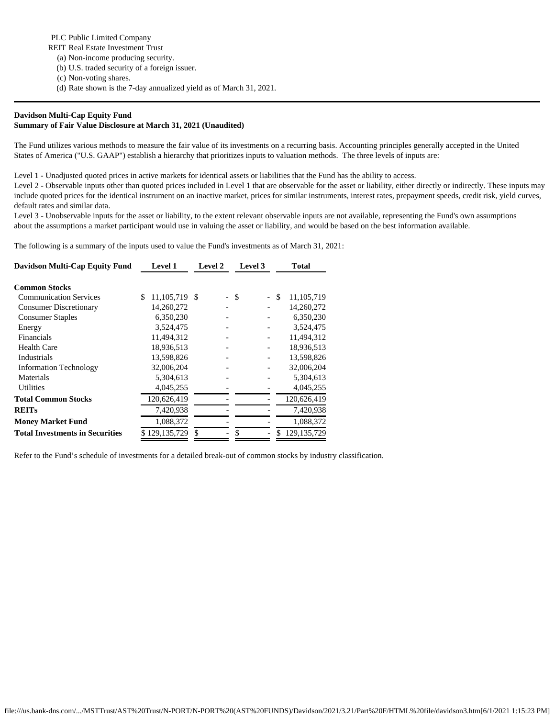PLC Public Limited Company

REIT Real Estate Investment Trust

- (a) Non-income producing security.
- (b) U.S. traded security of a foreign issuer.
- (c) Non-voting shares.
- (d) Rate shown is the 7-day annualized yield as of March 31, 2021.

## **Davidson Multi-Cap Equity Fund Summary of Fair Value Disclosure at March 31, 2021 (Unaudited)**

The Fund utilizes various methods to measure the fair value of its investments on a recurring basis. Accounting principles generally accepted in the United States of America ("U.S. GAAP") establish a hierarchy that prioritizes inputs to valuation methods. The three levels of inputs are:

Level 1 - Unadjusted quoted prices in active markets for identical assets or liabilities that the Fund has the ability to access.

Level 2 - Observable inputs other than quoted prices included in Level 1 that are observable for the asset or liability, either directly or indirectly. These inputs may include quoted prices for the identical instrument on an inactive market, prices for similar instruments, interest rates, prepayment speeds, credit risk, yield curves, default rates and similar data.

Level 3 - Unobservable inputs for the asset or liability, to the extent relevant observable inputs are not available, representing the Fund's own assumptions about the assumptions a market participant would use in valuing the asset or liability, and would be based on the best information available.

The following is a summary of the inputs used to value the Fund's investments as of March 31, 2021:

| <b>Davidson Multi-Cap Equity Fund</b>  | <b>Level 1</b>      | Level 2 | Level 3                      | <b>Total</b>     |  |
|----------------------------------------|---------------------|---------|------------------------------|------------------|--|
| <b>Common Stocks</b>                   |                     |         |                              |                  |  |
| <b>Communication Services</b>          | \$<br>11,105,719 \$ |         | - \$                         | 11,105,719<br>\$ |  |
| <b>Consumer Discretionary</b>          | 14,260,272          |         |                              | 14,260,272       |  |
| <b>Consumer Staples</b>                | 6,350,230           |         |                              | 6,350,230        |  |
| Energy                                 | 3,524,475           |         |                              | 3,524,475        |  |
| <b>Financials</b>                      | 11,494,312          |         | -                            | 11,494,312       |  |
| <b>Health Care</b>                     | 18,936,513          |         | -                            | 18,936,513       |  |
| Industrials                            | 13,598,826          |         | $\qquad \qquad \blacksquare$ | 13,598,826       |  |
| <b>Information Technology</b>          | 32,006,204          |         |                              | 32,006,204       |  |
| Materials                              | 5,304,613           |         |                              | 5,304,613        |  |
| Utilities                              | 4,045,255           |         |                              | 4,045,255        |  |
| <b>Total Common Stocks</b>             | 120,626,419         |         |                              | 120,626,419      |  |
| <b>REITs</b>                           | 7,420,938           |         |                              | 7,420,938        |  |
| <b>Money Market Fund</b>               | 1,088,372           |         |                              | 1,088,372        |  |
| <b>Total Investments in Securities</b> | \$129,135,729       | \$.     |                              | 129, 135, 729    |  |

Refer to the Fund's schedule of investments for a detailed break-out of common stocks by industry classification.